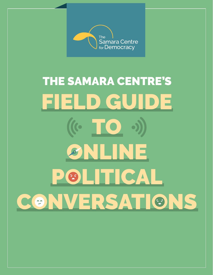

REPORT ONE OF THE **360+** SERIES

# FIELD GUIDE  $(C \t{IO}$ ONLINE POLITICAL CONVERSATIONS THE SAMARA CENTRE'S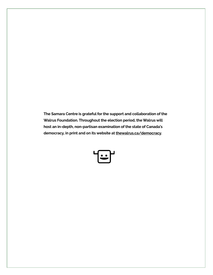**The Samara Centre is grateful for the support and collaboration of the Walrus Foundation. Throughout the election period, the Walrus will host an in-depth, non-partisan examination of the state of Canada's democracy, in print and on its website at [thewalrus.ca/democracy](http://www.thewalrus.ca/democracy).** 

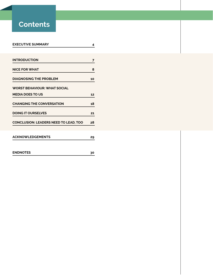# **Contents**

| <b>EXECUTIVE SUMMARY</b>              | 4  |
|---------------------------------------|----|
|                                       |    |
| <b>INTRODUCTION</b>                   | 7  |
| <b>NICE FOR WHAT</b>                  | 8  |
| <b>DIAGNOSING THE PROBLEM</b>         | 10 |
| <b>WORST BEHAVIOUR: WHAT SOCIAL</b>   |    |
| <b>MEDIA DOES TO US</b>               | 12 |
| <b>CHANGING THE CONVERSATION</b>      | 18 |
| <b>DOING IT OURSELVES</b>             | 21 |
| CONCLUSION: LEADERS NEED TO LEAD, TOO | 28 |
|                                       |    |
| <b>ACKNOWLEDGEMENTS</b>               | 29 |
|                                       |    |
| <b>ENDNOTES</b>                       | 30 |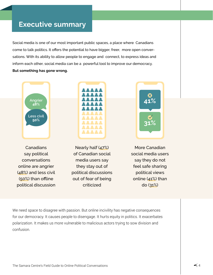# **Executive summary**

Social media is one of our most important public spaces, a place where Canadians come to talk politics. It offers the potential to have bigger, freer, more open conversations. With its ability to allow people to engage and connect, to express ideas and inform each other, social media can be a powerful tool to improve our democracy. **But something has gone wrong.**



Canadians say political conversations online are angrier (48%) and less civil (50%) than offline political discussion



Nearly half (47%) of Canadian social media users say they stay out of political discussions out of fear of being criticized



More Canadian social media users say they do not feel safe sharing political views online (41%) than do (31%)

We need space to disagree with passion. But online incivility has negative consequences for our democracy. It causes people to disengage. It hurts equity in politics. It exacerbates polarization. It makes us more vulnerable to malicious actors trying to sow division and confusion.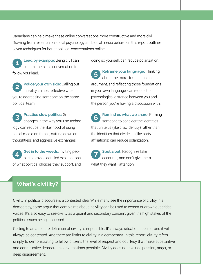Canadians can help make these online conversations more constructive and more civil. Drawing from research on social psychology and social media behaviour, this report outlines seven techniques for better political conversations online:

**Lead by example:** Being civil can cause others in a conversation to follow your lead. **1**

**Police your own side:** Calling out incivility is most effective when you're addressing someone on the same political team. **2**

**Practice slow politics:** Small changes in the way you use technology can reduce the likelihood of using social media on the go, cutting down on thoughtless and aggressive exchanges. **3**

**Get in to the weeds:** Inviting people to provide detailed explanations of what political choices they support, and **4**

doing so yourself, can reduce polarization.

**Reframe your language:** Thinking about the moral foundations of an argument, and reflecting those foundations in your own language, can reduce the psychological distance between you and the person you're having a discussion with. **5**

**Remind us what we share:** Priming someone to consider the identities that unite us (like civic identity) rather than the identities that divide us (like party affiliations) can reduce polarization. **6**

**Spot a bot:** Recognize fake accounts, and don't give them what they want—attention. **7**

## **What's civility?**

Civility in political discourse is a contested idea. While many see the importance of civility in a democracy, some argue that complaints about incivility can be used to censor or drown out critical voices. It's also easy to see civility as a quaint and secondary concern, given the high stakes of the political issues being discussed.

Getting to an absolute definition of civility is impossible. It's always situation-specific, and it will always be contested. And there are limits to civility in a democracy. In this report, civility refers simply to demonstrating to fellow citizens the level of respect and courtesy that make substantive and constructive democratic conversations possible. Civility does not exclude passion, anger, or deep disagreement.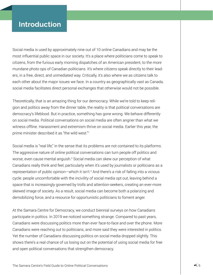# **Introduction**

Social media is used by approximately nine out of 10 online Canadians and may be the most influential public space in our society. It's a place where politicians come to speak to citizens, from the furious early morning dispatches of an American president, to the more mundane photo ops of Canadian politicians. It's where citizens speak directly to their leaders, in a free, direct, and unmediated way. Critically, it's also where we as citizens talk to each other about the major issues we face. In a country as geographically vast as Canada, social media facilitates direct personal exchanges that otherwise would not be possible.

Theoretically, that is an amazing thing for our democracy. While we're told to keep religion and politics away from the dinner table, the reality is that political conversations are democracy's lifeblood. But in practice, something has gone wrong. We behave differently on social media. Political conversations on social media are often angrier than what we witness offline. Harassment and extremism thrive on social media. Earlier this year, the prime minister described it as "the wild west."<sup>1</sup>

Social media is "real life," in the sense that its problems are not contained to its platforms. The aggressive nature of online political conversations can turn people off politics and worse, even cause mental anguish.<sup>2</sup> Social media can skew our perception of what Canadians really think and feel, particularly when it's used by journalists or politicians as a representation of public opinion—which it isn't.3 And there's a risk of falling into a vicious cycle: people uncomfortable with the incivility of social media opt out, leaving behind a space that is increasingly governed by trolls and attention-seekers, creating an ever-more skewed image of society. As a result, social media can become both a polarizing and demobilizing force, and a resource for opportunistic politicians to foment anger.

At the Samara Centre for Democracy, we conduct biennial surveys on how Canadians participate in politics. In 2019 we noticed something strange. Compared to past years, Canadians were discussing politics more than ever face-to-face and over the phone. More Canadians were reaching out to politicians, and more said they were interested in politics. Yet the number of Canadians discussing politics on social media dropped slightly. This shows there's a real chance of us losing out on the potential of using social media for free and open political conversations that strengthen democracy.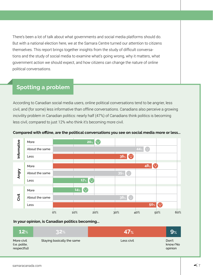There's been a lot of talk about what governments and social media platforms should do. But with a national election here, we at the Samara Centre turned our attention to citizens themselves. This report brings together insights from the study of difficult conversations and the study of social media to examine what's going wrong, why it matters, what government action we should expect, and how citizens can change the nature of online political conversations.

## **Spotting a problem**

According to Canadian social media users, online political conversations tend to be angrier, less civil, and (for some) less informative than offline conversations. Canadians also perceive a growing incivility problem in Canadian politics: nearly half (47%) of Canadians think politics is becoming less civil, compared to just 12% who think it's becoming more civil.



#### **Compared with offline, are the political conversations you see on social media more or less...**

## **In your opinion, is Canadian politics becoming...**

| 12%                                        | 32%                        | 47%        | $\mathbf{9}_{\%}$           |
|--------------------------------------------|----------------------------|------------|-----------------------------|
| More civil<br>(i.e. polite,<br>respectful) | Staying basically the same | Less civil | Don't<br>know/No<br>opinion |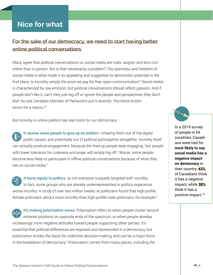# **Nice for what**

## For the sake of our democracy, we need to start having better online political conversations

Many agree that political conversations on social media are ruder, angrier, and less civil online than in person. But is that necessarily a problem? The openness and freedom of social media is what made it so appealing and suggested its democratic potential in the first place. Is incivility simply the price we pay for free, open communication? Social media is characterized by raw emotion, but political conversations should reflect passion. And if people don't like it, can't they just log off or ignore the people and perspectives they don't like? As one Canadian Member of Parliament put it recently: "the block button exists for a reason."4

But incivility in online politics has real costs for our democracy:

**It causes some people to give up on politics**—chasing them out of the digital public square, and potentially out of political participation altogether. Incivility itself can actually produce engagement, because the fired-up people keep engaging,<sup>5</sup> but people with lower tolerance for rudeness and anger will simply log off.<sup>6</sup> Worse, some people become less likely to participate in offline political conversations because of what they see on social media.<sup>7</sup>

**It hurts equity in politics**, as not everyone is equally targeted with incivility. In fact, some groups who are already underrepresented in politics experience worse incivility. A study of over two million tweets at politicians found that high-profile female politicians attract more incivility than high-profile male politicians, for example.<sup>8</sup>

**It's making polarization worse**. Polarization refers to when people cluster around extreme positions on opposite ends of the spectrum, or when people develop increasingly more negative attitudes toward people supporting other parties. It's essential that political differences are explored and represented in a democracy, but polarization erodes the basis for collective decision-making, and can be a major force in the breakdown of democracy.<sup>9</sup> Polarization comes from many places, including the

In a 2019 survey of people in 54 countries, Canadians were tied for **most likely to say social media has a negative impact on democracy** in their country: 43% of Canadians think it has a negative impact, while 38% think it has a positive impact.10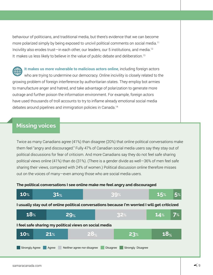behaviour of politicians, and traditional media, but there's evidence that we can become more polarized simply by being exposed to uncivil political comments on social media.<sup>11</sup> Incivility also erodes trust—in each other, our leaders, our 5 institutions, and media.12 It makes us less likely to believe in the value of public debate and deliberation.13

**It makes us more vulnerable to malicious actors online**, including foreign actors who are trying to undermine our democracy. Online incivility is closely related to the growing problem of foreign interference by authoritarian states. They employ bot armies to manufacture anger and hatred, and take advantage of polarization to generate more outrage and further poison the information environment. For example, foreign actors have used thousands of troll accounts to try to inflame already emotional social media debates around pipelines and immigration policies in Canada.14

## **Missing voices**

Twice as many Canadians agree (41%) than disagree (20%) that online political conversations make them feel "angry and discouraged." Fully 47% of Canadian social media users say they stay out of political discussions for fear of criticism. And more Canadians say they do not feel safe sharing political views online (41%) than do (31%). (There is a gender divide as well—36% of men feel safe sharing their views, compared with 24% of women.) Political discussion online therefore misses out on the voices of many—even among those who are social media users.

### **The political conversations I see online make me feel angry and discouraged**

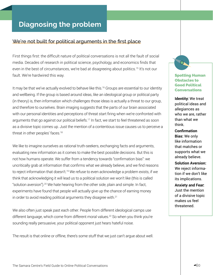# **Diagnosing the problem**

## We're not built for political arguments in the first place

First things first: the difficult nature of political conversations is not all the fault of social media. Decades of research in political science, psychology, and economics finds that even in the best of circumstances, we're bad at disagreeing about politics.<sup>15</sup> It's not our fault. We're hardwired this way.

It may be that we've actually evolved to behave like this.<sup>16</sup> Groups are essential to our identity and wellbeing. If the group is based around ideas, like an ideological group or political party (in theory) is, then information which challenges those ideas is actually a threat to our group, and therefore to ourselves. Brain imaging suggests that the parts of our brain associated with our personal identities and perceptions of threat start firing when we're confronted with arguments that go against our political beliefs.<sup>17</sup> In fact, we start to feel threatened as soon as a divisive topic comes up. Just the mention of a contentious issue causes us to perceive a threat in other peoples' faces.18

We like to imagine ourselves as rational truth-seekers, exchanging facts and arguments, evaluating new information as it comes to make the best possible decisions. But this is not how humans operate. We suffer from a tendency towards "confirmation bias": we uncritically grab at information that confirms what we already believe, and we find reasons to reject information that doesn't.<sup>19</sup> We refuse to even acknowledge a problem exists, if we think that acknowledging it will lead us to a political solution we won't like (this is called "solution aversion").20 We hate hearing from the other side, plain and simple. In fact, experiments have found that people will actually give up the chance of earning money in order to avoid reading political arguments they disagree with.<sup>21</sup>

We also often just speak past each other. People from different ideological camps use different language, which come from different moral values.22 So when you think you're sounding really persuasive, your political opponent just hears hateful noise.

The result is that online or offline, there's some stuff that we just can't argue about well.

Spotting Human Obstacles to Good Political **Conversations** 

**Identity:** We treat political ideas and allegiances as who we are, rather than what we think.

**Confirmation Bias:** We only like information that matches or supports what we already believe.

**Solution Aversion:**  We reject information if we don't like its implications.

**Anxiety and Fear:**  Just the mention of a divisive topic makes us feel threatened.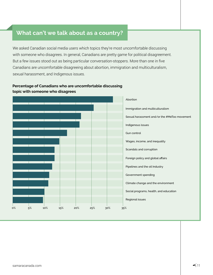## **What can't we talk about as a country?**

We asked Canadian social media users which topics they're most uncomfortable discussing with someone who disagrees. In general, Canadians are pretty game for political disagreement. But a few issues stood out as being particular conversation-stoppers. More than one in five Canadians are uncomfortable disagreeing about abortion, immigration and multiculturalism, sexual harassment, and Indigenous issues.

## **Percentage of Canadians who are uncomfortable discussing topic with someone who disagrees**

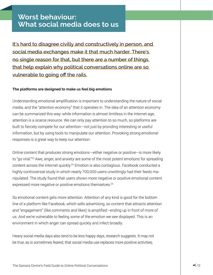# **Worst behaviour: What social media does to us**

It's hard to disagree civilly and constructively in person, and social media exchanges make it that much harder. There's no single reason for that, but there are a number of things that help explain why political conversations online are so vulnerable to going off the rails.

### **The platforms are designed to make us feel big emotions**

Understanding emotional amplification is important to understanding the nature of social media, and the "attention economy" that it operates in. The idea of an attention economy can be summarized this way: while information is almost limitless in the internet age, attention is a scarce resource. We can only pay attention to so much, so platforms are built to fiercely compete for our attention—not just by providing interesting or useful information, but by using tools to manipulate our attention. Provoking strong emotional responses is a great way to keep our attention.

Online content that produces strong emotions—either negative or positive—is more likely to "go viral."<sup>23</sup> Awe, anger, and anxiety are some of the most potent emotions for spreading content across the internet quickly.<sup>24</sup> Emotion is also contagious. Facebook conducted a highly controversial study in which nearly 700,000 users unwittingly had their feeds manipulated. The study found that users shown more negative or positive emotional content expressed more negative or positive emotions themselves.<sup>25</sup>

So emotional content gets more attention. Attention of any kind is good for the bottom line of a platform like Facebook, which sells advertising, so content that attracts attention and "engagement" (like comments and likes) is amplified—ending up in front of more of us. And we're vulnerable to feeling some of the emotion we see displayed. This is an environment in which anger can spread quickly and infect broadly.

Heavy social media days also tend to be less happy days, research suggests. It may not be true, as is sometimes feared, that social media use replaces more positive activities,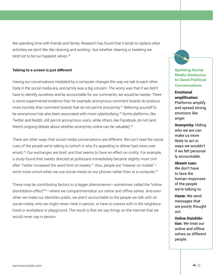like spending time with friends and family. Research has found that it tends to replace other activities we don't like, like cleaning and working—but whether cleaning or tweeting we tend not to be our happiest selves.<sup>26</sup>

### **Talking to a screen is just different**

Having our conversations mediated by a computer changes the way we talk to each other. Early in the social media era, anonymity was a big concern. The worry was that if we didn't have to identify ourselves and be accountable for our comments, we would be nastier. There is some experimental evidence that, for example, anonymous comment boards do produce more incivility than comment boards that do not permit anonymity.27 Believing yourself to be anonymous has also been associated with more cyberbullying.<sup>28</sup> Some platforms, like Twitter and Reddit, still permit anonymous users, while others, like Facebook, do not (and there's ongoing debate about whether anonymity online can be valuable).<sup>29</sup>

There are other ways that social media conversations are different. We can't read the social cues of the people we're talking to (which is why it's appealing to deliver bad news over email).<sup>30</sup> Our exchanges are brief, and that seems to have an effect on civility. For example, a study found that tweets directed at politicians immediately became slightly more civil after Twitter increased the word limit on tweets.<sup>31</sup> Also, people are "meaner on mobile"we're more uncivil when we use social media on our phones rather than at a computer.<sup>32</sup>

These may be contributing factors to a bigger phenomenon—sometimes called the "online disinhibition effect<sup>"33</sup>—where we compartmentalize our online and offline selves. And even when we make our identities public, we aren't accountable to the people we talk with on social media, who we might never meet in person, or have to coexist with in the neighbourhood or workplace or playground. The result is that we say things on the internet that we would never say in person.

## Spotting Social Media Obstacles to Good Political **Conversations**

**Emotional amplification:** Platforms amplify and spread strong emotions like anger.

**Anonymity:** Hiding who we are can make us more likely to act in ways we wouldn't if we felt personally accountable.

#### **Absent cues:**

We don't have to face the human responses of the people we're talking to.

**Haste:** We send messages that are poorly thought out.

**Online Disinhibition:** We treat our online and offline selves as different people.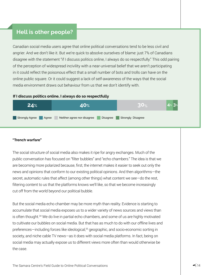## **Hell is other people?**

Canadian social media users agree that online political conversations tend to be less civil and angrier. And we don't like it. But we're quick to absolve ourselves of blame: just 7% of Canadians disagree with the statement "if I discuss politics online, I always do so respectfully." This odd pairing of the perception of widespread incivility with a near-universal belief that we aren't participating in it could reflect the poisonous effect that a small number of bots and trolls can have on the online public square. Or it could suggest a lack of self-awareness of the ways that the social media environment draws out behaviour from us that we don't identify with.

#### **If I discuss politics online, I always do so respectfully**



## **"Trench warfare"**

The social structure of social media also makes it ripe for angry exchanges. Much of the public conversation has focused on "filter bubbles" and "echo chambers." The idea is that we are becoming more polarized because, first, the internet makes it easier to seek out only the news and opinions that conform to our existing political opinions. And then algorithms—the secret, automatic rules that affect (among other things) what content we see—do the rest, filtering content to us that the platforms knows we'll like, so that we become increasingly cut off from the world beyond our political bubble.

But the social media echo chamber may be more myth than reality. Evidence is starting to accumulate that social media exposes us to a wider variety of news sources and views than is often thought.34 We do live in partial echo chambers, and some of us are highly motivated to cultivate our bubbles on social media. But that has as much to do with our offline lives and preferences—including forces like ideological,<sup>35</sup> geographic, and socio-economic sorting in society, and niche cable TV news—as it does with social media platforms. In fact, being on social media may actually expose us to different views more often than would otherwise be the case.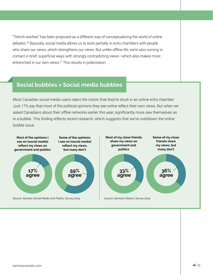"Trench warfare" has been proposed as a different way of conceptualizing the world of online debates.36 Basically, social media allows us to exist partially in echo chambers with people who share our views, which strengthens our views. But unlike offline life, we're also coming in contact in brief, superficial ways with strongly contradicting views—which also makes more entrenched in our own views.37 This results in polarization.

## **Social bubbles > Social media bubbles**

Most Canadian social media users reject the notion that they're stuck in an online echo chamber. Just 17% say that most of the political opinions they see online reflect their own views. But when we asked Canadians about their *offline* networks earlier this year, significantly more saw themselves as in a bubble. This finding reflects recent research, which suggests that we've overblown the online bubble issue.

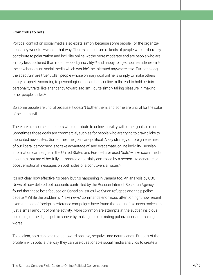#### **From trolls to bots**

Political conflict on social media also exists simply because some people—or the organizations they work for—want it that way. There's a spectrum of kinds of people who deliberately contribute to polarization and incivility online. At the more moderate end are people who are simply less bothered than most people by incivility,<sup>38</sup> and happy to inject some rudeness into their exchanges on social media which wouldn't be tolerated anywhere else. Further along the spectrum are true "trolls": people whose primary goal online is simply to make others angry or upset. According to psychological researchers, online trolls tend to hold certain personality traits, like a tendency toward sadism—quite simply taking pleasure in making other people suffer.39

So some people are uncivil because it doesn't bother them, and some are uncivil for the sake of being uncivil.

There are also some bad actors who contribute to online incivility with other goals in mind. Sometimes those goals are commercial, such as for people who are trying to draw clicks to fabricated news sites. Sometimes the goals are political. A key strategy of foreign enemies of our liberal democracy is to take advantage of, and exacerbate, online incivility. Russian information campaigns in the United States and Europe have used "bots"—fake social media accounts that are either fully automated or partially controlled by a person—to generate or boost emotional messages on both sides of a controversial issue.<sup>40</sup>

It's not clear how effective it's been, but it's happening in Canada too. An analysis by CBC News of now-deleted bot accounts controlled by the Russian Internet Research Agency found that these bots focused on Canadian issues like Syrian refugees and the pipeline debate.41 While the problem of "fake news" commands enormous attention right now, recent examinations of foreign interference campaigns have found that actual fake news makes up just a small amount of online activity. More common are attempts at the subtler, insidious poisoning of the digital public sphere by making use of existing polarization, and making it worse.

To be clear, bots can be directed toward positive, negative, and neutral ends. But part of the problem with bots is the way they can use questionable social media analytics to create a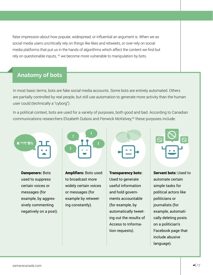false impression about how popular, widespread, or influential an argument is. When we as social media users uncritically rely on things like likes and retweets, or over-rely on social media platforms that put us in the hands of algorithms which affect the content we find but rely on questionable inputs, <sup>42</sup> we become more vulnerable to manipulation by bots.

## **Anatomy of bots**

In most basic terms, bots are fake social media accounts. Some bots are entirely automated. Others are partially controlled by real people, but still use automation to generate more activity than the human user could (technically a "cyborg").

In a political context, bots are used for a variety of purposes, both good and bad. According to Canadian communications researchers Elizabeth Dubois and Fenwick McKelvey,<sup>43</sup> these purposes include:



Dampeners: Bots used to suppress certain voices or messages (for example, by aggressively commenting negatively on a post).



Amplifiers: Bots used to broadcast more widely certain voices or messages (for example by retweeting constantly).

Transparency bots: Used to generate useful information and hold governments accountable (for example, by automatically tweeting out the results of Access to Information requests).



Servant bots: Used to automate certain simple tasks for political actors like politicians or journalists (for example, automatically deleting posts on a politician's Facebook page that include abusive language).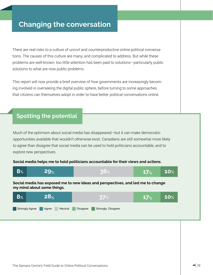# **Changing the conversation**

There are real risks to a culture of uncivil and counterproductive online political conversations. The causes of this culture are many, and complicated to address. But while these problems are well-known, too little attention has been paid to solutions—particularly public solutions to what are now public problems.

This report will now provide a brief overview of how governments are increasingly becoming involved in overseeing the digital public sphere, before turning to some approaches that citizens can themselves adopt in order to have better political conversations online.

## **Spotting the potential**

Much of the optimism about social media has disappeared—but it can make democratic opportunities available that wouldn't otherwise exist. Canadians are still somewhat more likely to agree than disagree that social media can be used to hold politicians accountable, and to explore new perspectives.

### **Social media helps me to hold politicians accountable for their views and actions.**



**Social media has exposed me to new ideas and perspectives, and led me to change my mind about some things.**

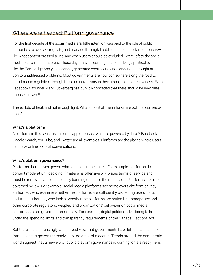## Where we're headed: Platform governance

For the first decade of the social media era, little attention was paid to the role of public authorities to oversee, regulate, and manage the digital public sphere. Important decisions like what content crossed a line, and when users should be excluded—were left to the social media platforms themselves. Those days may be coming to an end. Mega political events, like the Cambridge Analytica scandal, generated enormous public anger and brought attention to unaddressed problems. Most governments are now somewhere along the road to social media regulation, though these initiatives vary in their strength and effectiveness. Even Facebook's founder Mark Zuckerberg has publicly conceded that there should be new rules imposed in law.44

There's lots of heat, and not enough light. What does it all mean for online political conversations?

## **What's a platform?**

A platform, in this sense, is an online app or service which is powered by data.45 Facebook, Google Search, YouTube, and Twitter are all examples. Platforms are the places where users can have online political conversations.

## **What's platform governance?**

Platforms themselves govern what goes on in their sites. For example, platforms do content moderation—deciding if material is offensive or violates terms of service and must be removed, and occasionally banning users for their behaviour. Platforms are also governed by law. For example, social media platforms see some oversight from privacy authorities, who examine whether the platforms are sufficiently protecting users' data; anti-trust authorities, who look at whether the platforms are acting like monopolies; and other corporate regulators. Peoples' and organizations' behaviour on social media platforms is also governed through law. For example, digital political advertising falls under the spending limits and transparency requirements of the Canada Elections Act.

But there is an increasingly widespread view that governments have left social media platforms alone to govern themselves to too great of a degree. Trends around the democratic world suggest that a new era of public platform governance is coming, or is already here.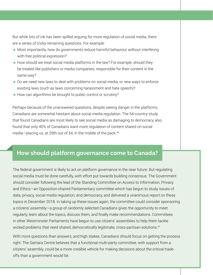But while lots of ink has been spilled arguing for more regulation of social media, there are a series of tricky remaining questions. For example:

- → Most importantly, how do governments reduce harmful behaviour without interfering with free political expression?
- $\rightarrow$  How should we treat social media platforms in the law? For example, should they be treated like publishers or media companies, responsible for their content in the same way?
- $\rightarrow$  Do we need new laws to deal with problems on social media, or new ways to enforce existing laws (such as laws concerning harassment and hate speech)?
- $\rightarrow$  How can algorithms be brought to public control or scrutiny?

Perhaps because of the unanswered questions, despite seeing danger in the platforms, Canadians are somewhat hesitant about social media regulation. The 54-country study that found Canadians are most likely to see social media as damaging to democracy also found that only 40% of Canadians want more regulation of content shared on social media—placing us, at 29th out of 54, in the middle of the pack. $46$ 

## **How should platform governance come to Canada?**

The federal government is likely to act on platform governance in the near future. But regulating social media must be done carefully, with effort put towards building consensus. The Government should consider following the lead of the Standing Committee on Access to Information, Privacy and Ethics—an Opposition-chaired Parliamentary committee which has begun to study issues of data, privacy, social media regulation, and democracy, and delivered a unanimous report on these topics in December 2018. In taking up these issues again, the committee could consider sponsoring a citizens' assembly—a group of randomly selected Canadians given the opportunity to meet regularly, learn about the topics, discuss them, and finally make recommendations. Committees in other Westminster Parliaments have begun to use citizens' assemblies to help them tackle wicked problems that need shared, democratically legitimate, cross-partisan solutions.<sup>47</sup>

With more questions than answers, and high stakes, Canadians should focus on getting the process right. The Samara Centre believes that a functional multi-party committee, with support from a citizens' assembly, could be a more credible vehicle for making decisions about the critical tradeoffs than a government would be.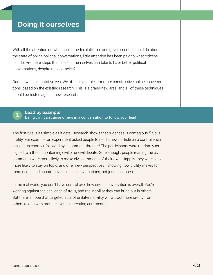# **Doing it ourselves**

With all the attention on what social media platforms and governments should do about the state of online political conversations, little attention has been paid to what citizens can do. Are there steps that citizens themselves can take to have better political conversations, despite the obstacles?

Our answer is a tentative yes. We offer seven rules for more constructive online conversations, based on the existing research. This is a brand-new area, and all of these techniques should be tested against new research.



**Lead by example**

Being civil can cause others in a conversation to follow your lead **1**

The first rule is as simple as it gets. Research shows that rudeness is contagious.<sup>48</sup> So is civility. For example, an experiment asked people to read a news article on a controversial issue (gun control), followed by a comment thread.<sup>49</sup> The participants were randomly assigned to a thread containing civil or uncivil debate. Sure enough, people reading the civil comments were more likely to make civil comments of their own. Happily, they were also more likely to stay on topic, and offer new perspectives—showing how civility makes for more useful and constructive political conversations, not just nicer ones.

In the real world, you don't have control over how civil a conversation is overall. You're working against the challenge of trolls, and the incivility they can bring out in others. But there is hope that targeted acts of unilateral civility will attract more civility from others (along with more relevant, interesting comments).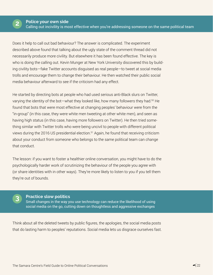

Does it help to call out bad behaviour? The answer is complicated. The experiment described above found that talking about the ugly state of the comment thread did not necessarily produce more civility. But elsewhere it has been found effective. The key is who is doing the calling out. Kevin Munger at New York University discovered this by building civility bots—fake Twitter accounts disguised as real people—to tweet at social media trolls and encourage them to change their behaviour. He then watched their public social media behaviour afterward to see if the criticism had any effect.

He started by directing bots at people who had used serious anti-Black slurs on Twitter, varying the identity of the bot—what they looked like, how many followers they had.50 He found that bots that were most effective at changing peoples' behaviour were from the "in-group" (in this case, they were white men tweeting at other white men), and seen as having high status (in this case, having more followers on Twitter). He then tried something similar with Twitter trolls who were being uncivil to people with different political views during the 2016 US presidential election.<sup>51</sup> Again, he found that receiving criticism about your conduct from someone who belongs to the same political team can change that conduct.

The lesson: if you want to foster a healthier online conversation, you might have to do the psychologically harder work of scrutinizing the behaviour of the people you agree with (or share identities with in other ways). They're more likely to listen to you if you tell them they're out of bounds.



## **Practice slow politics**

Small changes in the way you use technology can reduce the likelihood of using social media on the go, cutting down on thoughtless and aggressive exchanges

Think about all the deleted tweets by public figures, the apologies, the social media posts that do lasting harm to peoples' reputations. Social media lets us disgrace ourselves fast.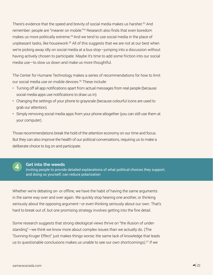There's evidence that the speed and brevity of social media makes us harsher.<sup>52</sup> And remember: people are "meaner on mobile."53 Research also finds that even boredom makes us more politically extreme.<sup>54</sup> And we tend to use social media in the place of unpleasant tasks, like housework.<sup>55</sup> All of this suggests that we are not at our best when we're picking away idly on social media at a bus stop—jumping into a discussion without having actively chosen to participate. Maybe it's time to add some friction into our social media use—to slow us down and make us more thoughtful.

The Center for Humane Technology makes a series of recommendations for how to limit our social media use on mobile devices.56 These include:

- Turning off all app notifications apart from actual messages from real people (because social media apps use notifications to draw us in).
- Changing the settings of your phone to grayscale (because colourful icons are used to grab our attention).
- Simply removing social media apps from your phone altogether (you can still use them at your computer).

Those recommendations break the hold of the attention economy on our time and focus. But they can also improve the health of our political conversations, requiring us to make a deliberate choice to log on and participate.



#### **Get into the weeds**

Inviting people to provide detailed explanations of what political choices they support, and doing so yourself, can reduce polarization

Whether we're debating on- or offline, we have the habit of having the same arguments in the same way over and over again. We quickly stop hearing one another, or thinking seriously about the opposing argument—or even thinking seriously about our own. That's hard to break out of, but one promising strategy involves getting into the fine detail.

Some research suggests that strong ideological views thrive on "the illusion of understanding"—we think we know more about complex issues than we actually do. (The "Dunning-Kruger Effect" just makes things worse; the same lack of knowledge that leads us to questionable conclusions makes us unable to see our own shortcomings).<sup>57</sup> If we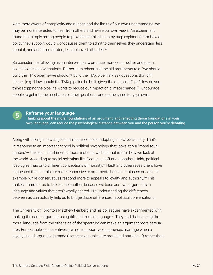were more aware of complexity and nuance and the limits of our own understanding, we may be more interested to hear from others and revise our own views. An experiment found that simply asking people to provide a detailed, step-by-step explanation for how a policy they support would work causes them to admit to themselves they understand less about it, and adopt moderated, less polarized attitudes.<sup>58</sup>

So consider the following as an intervention to produce more constructive and useful online political conversations. Rather than rehearsing the old arguments (e.g. "we should build the TMX pipeline/we shouldn't build the TMX pipeline"), ask questions that drill deeper (e.g. "How should the TMX pipeline be built, given the obstacles?" or, "How do you think stopping the pipeline works to reduce our impact on climate change?"). Encourage people to get into the mechanics of their positions, and do the same for your own.

## **Reframe your language**

**5**

Thinking about the moral foundations of an argument, and reflecting those foundations in your own language, can reduce the psychological distance between you and the person you're debating

Along with taking a new angle on an issue, consider adopting a new vocabulary. That's in response to an important school in political psychology that looks at our "moral foundations"— the basic, fundamental moral instincts we hold that inform how we look at the world. According to social scientists like George Lakoff and Jonathan Haidt, political ideologies map onto different conceptions of morality.<sup>59</sup> Haidt and other researchers have suggested that liberals are more responsive to arguments based on fairness or care, for example, while conservatives respond more to appeals to loyalty and authority.<sup>60</sup> This makes it hard for us to talk to one another, because we base our own arguments in language and values that aren't wholly shared. But understanding the differences between us can actually help us to bridge those differences in political conversations.

The University of Toronto's Matthew Feinberg and his colleagues have experimented with making the same argument using different moral language.<sup>61</sup> They find that echoing the moral language from the other side of the spectrum can make an argument more persuasive. For example, conservatives are more supportive of same-sex marriage when a loyalty-based argument is made ("same-sex couples are proud and patriotic …") rather than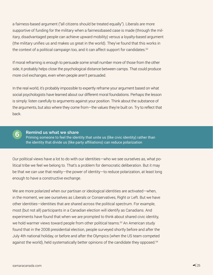a fairness-based argument ("all citizens should be treated equally"). Liberals are more supportive of funding for the military when a fairnessbased case is made (through the military, disadvantaged people can achieve upward mobility) versus a loyalty-based argument (the military unifies us and makes us great in the world). They've found that this works in the context of a political campaign too, and it can affect support for candidates.<sup>62</sup>

If moral reframing is enough to persuade some small number more of those from the other side, it probably helps close the psychological distance between camps. That could produce more civil exchanges, even when people aren't persuaded.

In the real world, it's probably impossible to expertly reframe your argument based on what social psychologists have learned about our different moral foundations. Perhaps the lesson is simply: listen carefully to arguments against your position. Think about the substance of the arguments, but also where they come from—the values they're built on. Try to reflect that back.



#### **Remind us what we share**

Priming someone to feel the identity that unite us (like civic identity) rather than the identity that divide us (like party affiliations) can reduce polarization

Our political views have a lot to do with our identities—who we see ourselves as, what political tribe we feel we belong to. That's a problem for democratic deliberation. But it may be that we can use that reality—the power of identity—to reduce polarization, at least long enough to have a constructive exchange.

We are more polarized when our partisan or ideological identities are activated—when, in the moment, we see ourselves as Liberals or Conservatives, Right or Left. But we have other identities—identities that are shared across the political spectrum. For example, most (but not all) participants in a Canadian election will identify as Canadians. And experiments have found that when we are prompted to think about shared civic identity, we hold warmer views toward people from other political teams.<sup>63</sup> An American study found that in the 2008 presidential election, people surveyed shortly before and after the July 4th national holiday, or before and after the Olympics (when the US team competed against the world), held systematically better opinions of the candidate they opposed.<sup>64</sup>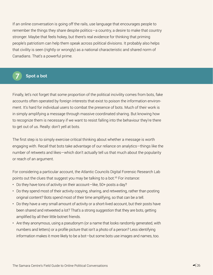If an online conversation is going off the rails, use language that encourages people to remember the things they share despite politics—a country, a desire to make that country stronger. Maybe that feels hokey, but there's real evidence for thinking that priming people's patriotism can help them speak across political divisions. It probably also helps that civility is seen (rightly or wrongly) as a national characteristic and shared norm of Canadians. That's a powerful prime.



## **7 Spot a bot**

Finally, let's not forget that some proportion of the political incivility comes from bots, fake accounts often operated by foreign interests that exist to poison the information environment. It's hard for individual users to combat the presence of bots. Much of their work is in simply amplifying a message through massive coordinated sharing. But knowing how to recognize them is necessary if we want to resist falling into the behaviour they're there to get out of us. Really: don't yell at bots.

The first step is to simply exercise critical thinking about whether a message is worth engaging with. Recall that bots take advantage of our reliance on analytics—things like the number of retweets and likes—which don't actually tell us that much about the popularity or reach of an argument.

For considering a particular account, the Atlantic Councils Digital Forensic Research Lab points out the clues that suggest you may be talking to a bot.<sup>65</sup> For instance:

- Do they have tons of activity on their account-like, 50+ posts a day?
- Do they spend most of their activity copying, sharing, and retweeting, rather than posting original content? Bots spend most of their time amplifying, so that can be a tell.
- Do they have a very small amount of activity or a short-lived account, but their posts have been shared and retweeted a lot? That's a strong suggestion that they are bots, getting amplified by all their little botnet friends.
- Are they anonymous, using a pseudonym (or a name that looks randomly generated, with numbers and letters) or a profile picture that isn't a photo of a person? Less identifying information makes it more likely to be a bot—but some bots use images and names, too.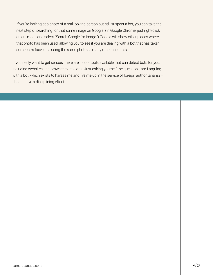• If you're looking at a photo of a real-looking person but still suspect a bot, you can take the next step of searching for that same image on Google. (In Google Chrome, just right-click on an image and select "Search Google for image.") Google will show other places where that photo has been used, allowing you to see if you are dealing with a bot that has taken someone's face, or is using the same photo as many other accounts.

If you really want to get serious, there are lots of tools available that can detect bots for you, including websites and browser extensions. Just asking yourself the question—am I arguing with a bot, which exists to harass me and fire me up in the service of foreign authoritarians?should have a disciplining effect.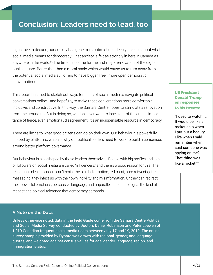# **Conclusion: Leaders need to lead, too**

In just over a decade, our society has gone from optimistic to deeply anxious about what social media means for democracy. That anxiety is felt as strongly in here in Canada as anywhere in the world.<sup>66</sup> The time has come for the first major renovation of the digital public square. Better that than a moral panic which would cause us to turn away from the potential social media still offers to have bigger, freer, more open democratic conversations.

This report has tried to sketch out ways for users of social media to navigate political conversations online—and hopefully, to make those conversations more comfortable, inclusive, and constructive. In this way, the Samara Centre hopes to stimulate a renovation from the ground up. But in doing so, we don't ever want to lose sight of the critical importance of fierce, even emotional, disagreement. It's an indispensable resource in democracy.

There are limits to what good citizens can do on their own. Our behaviour is powerfully shaped by platforms, which is why our political leaders need to work to build a consensus around better platform governance.

Our behaviour is also shaped by those leaders themselves. People with big profiles and lots of followers on social media are called "influencers," and there's a good reason for this. The research is clear: if leaders can't resist the big dark emotion, red-meat, sure-retweet-getter messaging, they infect us with their own incivility and misinformation. Or they can redirect their powerful emotions, persuasive language, and unparalleled reach to signal the kind of respect and political tolerance that democracy demands.

## US President Donald Trump on responses to his tweets:

"I used to watch it. It would be like a rocket ship when I put out a beauty. Like when I said remember when I said someone was spying on me? That thing was like a rocket!"<sup>67</sup>

## **A Note on the Data**

Unless otherwise noted, data in the Field Guide come from the Samara Centre Politics and Social Media Survey, conducted by Doctors Daniel Rubenson and Peter Loewen of 1,010 Canadian frequent social media users between July 17 and 19, 2019. The online survey sample provided by Dynata was drawn with regional, gender, and language quotas, and weighted against census values for age, gender, language, region, and immigration status.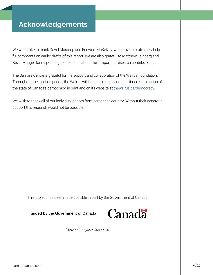We would like to thank David Moscrop and Fenwick McKelvey, who provided extremely helpful comments on earlier drafts of this report. We are also grateful to Matthew Feinberg and Kevin Munger for responding to questions about their important research contributions.

The Samara Centre is grateful for the support and collaboration of the Walrus Foundation. Throughout the election period, the Walrus will host an in-depth, non-partisan examination of the state of Canada's democracy, in print and on its website at [thewalrus.ca/democracy.](http://www.thewalrus.ca/democracy)

We wish to thank all of our individual donors from across the country. Without their generous support this research would not be possible.

This project has been made possible in part by the Government of Canada.

#### Funded by the Government of Canada



*Version française disponible.*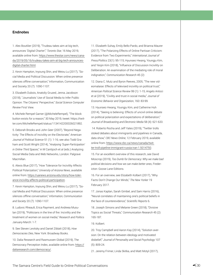#### **Endnotes**

1. Alex Boutilier (2019), "Trudeau takes aim at big tech, announces 'Digital Charter'," *Toronto Star,* 16 May 2019, available online from: [https://www.thestar.com/news/cana](https://www.thestar.com/news/canada/2019/05/16/trudeau-takes-aim-at-big-tech-announces-digital-charter.html)[da/2019/05/16/trudeau-takes-aim-at-big-tech-announces](https://www.thestar.com/news/canada/2019/05/16/trudeau-takes-aim-at-big-tech-announces-digital-charter.html)[digital-charter.htm](https://www.thestar.com/news/canada/2019/05/16/trudeau-takes-aim-at-big-tech-announces-digital-charter.html)l.

2. Kevin Hampton, Inyoung Shin, and Weixu Lu (2017), "Social Media and Political Discussion: When online presence silences offline conversation," Information, Communication and Society 20 (7): 1090-1107.

3. Elizabeth Dubois, Anatoliy Gruzed, Jenna Jacobson (2018), "Journalists' Use of Social Media to Infer Public Opinion: The Citizens' Perspective," *Social Science Computer Review* First View.

4. Michele Rempel Garner (@MicheleRempel), "The block button exists for a reason," 30 May 2019, tweet: https://twitter.com/MichelleRempel/status/1134142200026021892.

5. Deborah Brooks and John Geer (2007), "Beyond Negativity: The Effects of Incivility on the Electorate," *American Journal of Political Science* 51 (1): 1-16; see also Todd Graham and Scott Wright (2014), "*Analysing 'Super-Participation' in Online Third Spaces*," in M Cantijoch et al (eds.) Analyzing Social Media Data and Web Networks, London: Palgrave Macmillan.

6. Alexis Blue (2017), "How Tolerance for Incivility Affects Political Polarization," *University of Arizona News*, available online from: [https://uanews.arizona.edu/story/how-toler](https://uanews.arizona.edu/story/how-tolerance-incivility-affects-political-participation)[ance-incivility-affects-political-participation](https://uanews.arizona.edu/story/how-tolerance-incivility-affects-political-participation).

7. Kevin Hampton, Inyoung Shin, and Weixu Lu (2017), "Social Media and Political Discussion: When online presence silences offline conversation," *Information, Communication and Society* 20 (7): 1090-1107.

8. Ludovic Rheault, Erica Rayment, and Andreea Musulan (2019), "Politicians in the line of fire: Incivility and the treatment of women on social media," *Research and Politic*s January-March: 1-7.

9. See Steven Levitsky and Daniel Ziblatt (2018), *How Democracies Dies*, New York: Broadway Books.

10. Dalia Research and Rasmussen Global (2019), The Democracy Perception Index, available online from: [https://](https://daliaresearch.com/democracy/) [daliaresearch.com/democracy/](https://daliaresearch.com/democracy/).

11. Elizabeth Suhay, Emily Bello-Pardo, and Brianna Maurer (2017), "The Polarizing Effects of Online Partisan Criticism: Evidence from Two Experiments," *International Journal of Press/Politics* 23(1): 95-115; Hyunseo Hwang, Youngju Kim, and Yeojin Kim (2018), "Influence of Discussion Incivility on Deliberation: An examination of the mediating role of moral indignation," *Communication Research* 45 (2):

12. Diana C. Mutz and Byron Reeves, 2005, "The new videomalaise: Effects of televised incivility on political trust," *American Political Science Review* 99 (1): 1-15; Angelo Antoci et al (2019), "Civility and trust in social media," *Journal of Economic Behavior and Organization*, 160: 83-99.

13. Hyunseo Hwang, Youngju Kim, and Catherine Huh (2014), "Seeing is believing: Effects of uncivil online debate on political polarization and expectations of deliberation," *Journal of Broadcasting and Electronic Media* 58 (4): 621-633.

 14. Roberto Rocha and Jeff Yates (2019), "Twitter trolls stoked debates about immigrants and pipelines in Canada, data show," *CBC News Online*, 12 February 2019, available online from: [https://www.cbc.ca/news/canada/twit](https://www.cbc.ca/news/canada/twitter-troll-pipeline-immigrant-russia-iran-1.5014750)[ter-troll-pipeline-immigrant-russia-iran-1.5014750.](https://www.cbc.ca/news/canada/twitter-troll-pipeline-immigrant-russia-iran-1.5014750)

15. For an excellent overview of this research, see David Moscrop (2019), *Too Dumb for Democracy: Why we make bad political decisions and how we can make better ones*, Fredericton: Goose Lane Editions.

16. For an overview, see Elizabeth Kolbert (2017), "Why Facts Don't Change Our Minds," *The New Yorker* 19 February 2017.

17. Jonas Kaplan, Sarah Gimbel, and Sam Harris (2016), "Neural correlates of maintaining one's political beliefs in the face of counterevidence," *Scientific Reports* 6.

18. Joseph Simons and Melanie Green (2018), "Divisive Topics as Social Threats," *Communication Research* 45 (2): 165-187.

19. Kolbert.

20. Troy Campbell and Aaron Kay (2014), "Solution aversion: On the relation between ideology and motivated disbelief," *Journal of Personality and Social Psychology* 107 (5): 809-24.

21. Jeremy Frimer, Linda Skitka, and Matt Motyl (2017),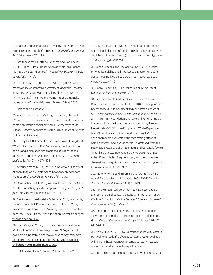"Liberals and conservatives are similarly motivated to avoid exposure to one another's opinions," *Journal of Experimental Social Psychology* 72: 1-12.

22. See for example Matthew Feinberg and Robb Willer (2015), "From Gulf to Bridge: When do moral arguments facilitate political influence?" *Personality and Social Psychology Bulletin* 41 (12).

23. Jonah Berger and Katherine Milkman (2012), "What makes online content viral?" *Journal of Marketing Research* 49 (2): 192-205; Kerry Jones, Kelsey Libert, and Kristin Tynksi (2016), "The emotional combinations that make stores go viral," *Harvard Business Review* 23 May 2016.

24. Berger and Milkman 2012.

25. Adam Kramer, Jamie Guillory, and Jeffrey Hancock (2014), "Experimental evidence of massive-scale emotional contagion through social networks," *Proceedings of the National Academy of Sciences of the United States of America* 111 (24): 8788-8790.

26. Jeffrey Hall, Rebecca Johnson and Elaina Ross (2019), "Where Does the Time Go? An experimental test of what social media displaces and displaced activities' associations with affective well-being and quality of day," *New Media & Society* 21 (3): 674-692.

27. Arthur Santana (2014), "Virtuous or Vitriolic: The effect of anonymity on civility in online newspaper reader comment boards," *Journalism Practice* 8 (1): 18-33.

28. Christopher Barlett, Douglas Gentile, and Chelsea Chew (2016), "Predicting cyberbullying from anonymity," *Psychology of Popular Media Culture* 5 (2): 171-180.

29. See for example Gabriella Coleman (2014), "Anonymity Online Serves Us All," *New York Times* 20 August 2014, available online from: [https://www.nytimes.com/roomfor](https://www.nytimes.com/roomfordebate/2014/08/19/the-war-against-online-trolls/anonymity-online-serves-us-all)[debate/2014/08/19/the-war-against-online-trolls/anonymi](https://www.nytimes.com/roomfordebate/2014/08/19/the-war-against-online-trolls/anonymity-online-serves-us-all)[ty-online-serves-us-all](https://www.nytimes.com/roomfordebate/2014/08/19/the-war-against-online-trolls/anonymity-online-serves-us-all).

30. Liraz Margalit (2014), "The Psychology Behind Social Media Interactions," *Psychology Today* 29 August 2014, available online from: [https://www.psychologytoday.com/](https://www.psychologytoday.com/us/blog/behind-online-behavior/201408/the-psychology-behind-social-media-interactions) [us/blog/behind-online-behavior/201408/the-psycholo](https://www.psychologytoday.com/us/blog/behind-online-behavior/201408/the-psychology-behind-social-media-interactions)[gy-behind-social-media-interactions](https://www.psychologytoday.com/us/blog/behind-online-behavior/201408/the-psychology-behind-social-media-interactions).

31. Kokil Jaidka, Alvin Zhou, and Yphtach Lelkes (2018),

"Brevity is the Soul of Twitter: The constraint affordance and political discussion," Social Science Research Network, available online from: [https://papers.ssrn.com/sol3/papers.](https://papers.ssrn.com/sol3/papers.cfm?abstract_id=3287552) [cfm?abstract\\_id=3287552](https://papers.ssrn.com/sol3/papers.cfm?abstract_id=3287552).

32. Jacob Groshek and Chelsea Cutino (2016), "Meaner on Mobile: Incivility and impoliteness in communicating contentious politics on sociotechnical networks," *Social Media + Society* 1-10.

33. John Suler (2004), "The Online Disinhibition Effect," *Cyberpsychology and Behavior*, 7 (3).

34. See for example Andrew Guess, Brendan Nyhan, Benjamin Lyons, and Jason Reifler (2018), *Avoiding the Echo Chamber about Echo Chambers: Why selective exposure to like-minded political news is less prevalent than you think*, Miami: The Knight Foundation, available online from: [https://](https://kf-site-production.s3.amazonaws.com/media_elements/files/000/000/133/original/Topos_KF_White-Paper_Nyhan_V1.pdf) [kf-site-production.s3.amazonaws.com/media\\_elements/](https://kf-site-production.s3.amazonaws.com/media_elements/files/000/000/133/original/Topos_KF_White-Paper_Nyhan_V1.pdf) [files/000/000/133/original/Topos\\_KF\\_White-Paper\\_Ny](https://kf-site-production.s3.amazonaws.com/media_elements/files/000/000/133/original/Topos_KF_White-Paper_Nyhan_V1.pdf)[han\\_V1.pdf](https://kf-site-production.s3.amazonaws.com/media_elements/files/000/000/133/original/Topos_KF_White-Paper_Nyhan_V1.pdf); Elizabeth Dubois and Grant Black (2018), "The echo chamber is overstated: the moderating effect of political interest and diverse media," *Information, Communication and Society* 21; Efrat Nechustai and Set Lewis (2019), "What kind of news gatekeepers do we want machines to be? Filter bubbles, fragmentation, and the normative dimensions of algorithmic recommendations," *Computers in Human Behaviour* 90: 298-307.

35. Anthony Kevins and Stuart Soroka (2018), "Growing Apart? Partisan Sorting in Canada, 1992-2015," *Canadian Journal of Political Science* 54 (1): 103-133.

36. Rune Karlsen, Kari Steen-Johnsen, Dag Wollebaek, and Bernard Enjolras (2017), "Echo Chamber and Trench Warfare Dynamics in Online Debates," *European Journal of Communication* 32 (3): 257-273.

37. Christopher Bail et al (2018), "Exposure to opposing views on social media can increase political polarization," *Proceedings of the National Academy of Sciences* 115 (37): 9216-9221.

38. Alexis Blue (2017), "How Tolerance for Incivility Affects Political Polarization," *University of Arizona News*, available online from: [https://uanews.arizona.edu/story/how-toler](https://uanews.arizona.edu/story/how-tolerance-incivility-affects-political-participation)[ance-incivility-affects-political-participation](https://uanews.arizona.edu/story/how-tolerance-incivility-affects-political-participation).

39. Erin Buckels, Paul Trapnell, and Delroy Paulhus (2014),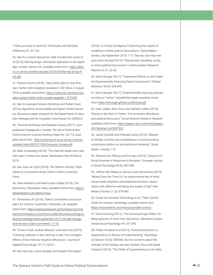"Trolls just want to have fun," *Personality and Individual Differences* 67: 97-102.

40. See for a recent discussion, Alek Krsodomski-Jones et al (2019), *Warring Songs: Information Operations in the Digital Age*, London: Demos UK, available online from: [https://dem](https://demos.co.uk/wp-content/uploads/2019/05/Warring-Songs-final.pdf)[os.co.uk/wp-content/uploads/2019/05/Warring-Songs-fi](https://demos.co.uk/wp-content/uploads/2019/05/Warring-Songs-final.pdf)[nal.pdf](https://demos.co.uk/wp-content/uploads/2019/05/Warring-Songs-final.pdf).

41. Roberto Rocha (2018), "Data sheds light on how Russian Twitter trolls targeted Canadians," *CBC News*, 3 August 2018, available online from: [https://www.cbc.ca/news/can](https://www.cbc.ca/news/canada/russian-twitter-trolls-canada-targeted-1.4772397)[ada/russian-twitter-trolls-canada-targeted-1.4772397](https://www.cbc.ca/news/canada/russian-twitter-trolls-canada-targeted-1.4772397).

42. See for example Fenwick McKelvey and Robert Hunt (2019), *Algorithmic Accountability and Digital Content Discovery*, discussion paper prepared for the Department of Canadian Heritage and the Canadian Commission for UNESCO.

43. Fenwick McKelvey and Elizabeth Dubois (2017), *Computational Propaganda in Canada: The Use of Political Bots*, Oxford Internet Institute Working Paper No. 2017.6, available online from: [http://comprop.oii.ox.ac.uk/wp-content/](http://comprop.oii.ox.ac.uk/wp-content/uploads/sites/89/2017/06/Comprop-Canada.pdf) [uploads/sites/89/2017/06/Comprop-Canada.pdf.](http://comprop.oii.ox.ac.uk/wp-content/uploads/sites/89/2017/06/Comprop-Canada.pdf)

44. Mark Zuckerberg (2019), "The interned needs new rules. Let's start in these four areas," *Washington Post* 30 March 2019.

45. See Jose van Dijck (2018), *The Platform Society: Public Values in a Connective World*, Oxford: Oxford University Press.

46. Dalia Research and Rasmussen Global (2019), The Democracy Perception Index, available online from: [https://](https://daliaresearch.com/democracy/) [daliaresearch.com/democracy/](https://daliaresearch.com/democracy/).

47. Parliament UK (2019), "Select Committees announce plans for Citizens' Assembly," *Parliament. UK*, available online from: [https://www.parliament.uk/business/commit](https://www.parliament.uk/business/committees/committees-a-z/commons-select/business-energy-industrial-strategy/news-parliament-2017/climate-change-and-net-zero-chairs-comments-17-19/)[tees/committees-a-z/commons-select/business-energy-in](https://www.parliament.uk/business/committees/committees-a-z/commons-select/business-energy-industrial-strategy/news-parliament-2017/climate-change-and-net-zero-chairs-comments-17-19/)[dustrial-strategy/news-parliament-2017/climate-change](https://www.parliament.uk/business/committees/committees-a-z/commons-select/business-energy-industrial-strategy/news-parliament-2017/climate-change-and-net-zero-chairs-comments-17-19/)[and-net-zero-chairs-comments-17-19/.](https://www.parliament.uk/business/committees/committees-a-z/commons-select/business-energy-industrial-strategy/news-parliament-2017/climate-change-and-net-zero-chairs-comments-17-19/)

48. Trevour Foulk, Andrew Woolum, and Amir Erez (2016), "Catching rudeness is like catching a cold: The contagion effects of low-intensity negative behaviours," Journal of Applied Psychology 101 (1): 50-67.

49. Soo-Hye Han, LeAnn Brazeal, and Natalie Pennington

(2018), "Is Civility Contagious? Examining the impact of modeling in online political discussions," *Social Media + Society* July-September 2018: 1-12. See also Soo-Hye Han and LeAnn Brazeal (2015), "Playing Nice: Modeling civility in online political discussions," *Communication Research Reports* 32 (1): 20-28.

50. Kevin Munger (2017), "Tweetment Effects on the Tweeted: Experimentally Reducing Racist Harassment," *Political Behaviour* 39 (3): 629-649.

51. Kevin Munger (2017), "Experimentally reducing partisan incivility on Twitter," Unpublished paper, available online from: [https://kmunger.github.io/pdfs/jmp.pdf.](https://kmunger.github.io/pdfs/jmp.pdf)

52. Kokil Jaidka, Alvin Zhou, and Yphtach Lelkes (2018), "Brevity is the Soul of Twitter: The constraint affordance and political discussion," Social Science Research Network, available online from: [https://papers.ssrn.com/sol3/papers.](https://papers.ssrn.com/sol3/papers.cfm?abstract_id=3287552) [cfm?abstract\\_id=3287552](https://papers.ssrn.com/sol3/papers.cfm?abstract_id=3287552).

53. Jacob Groshek and Chelsea Cutino (2016), "Meaner on Mobile: Incivility and impoliteness in communicating contentious politics on sociotechnical networks," *Social Media + Society* 1-10.

54. Wijnand Van Tillburg and Eric Igou (2016), "Going to Political Extremes in Response to Boredom," *European Journal of Social Psychology* 46 (6): 687-699.

55. Jeffrey Hall, Rebecca Johnson and Elaina Ross (2019), "Where Does the Time Go? An experimental test of what social media displaces and displaced activities' associations with affective well-being and quality of day," *New Media & Society* 21 (3): 674-692.

56. Center for Humane Technology (n.d.), "Take Control," C*enter for Humane Technology*, available online from: <https://humanetech.com/resources/take-control/>.

57. David Dunning (2011), "The Dunning-Kruger Effect: On Being Ignorant of One's Own Ignorance," *Advances in Experimental Social Psychology* 44: 247-296.

58. Phillip Fernback et al (2013), "Political Extremism is Supported by an Illusion of Understanding," *Psychological Science* 24 (6): 939-946. But for concerns about the strength of the finding, see also Haotian Zhou and Ayelet Fishbach (2016), "The Pitfall of Experimenting on the Web: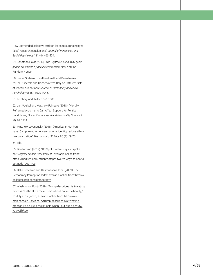How unattended selective attrition leads to surprising (yet false) research conclusions," *Journal of Personality and Social Psychology* 111 (4): 493-504.

59. Jonathan Haidt (2013), *The Righteous Mind: Why good people are divided by politics and religion*, New York NY: Random House.

60. Jesse Graham, Jonathan Haidt, and Brian Nosek (2009), "Liberals and Conservatives Rely on Different Sets of Moral Foundations," *Journal of Personality and Social Psychology* 96 (5): 1029-1046.

61. Feinberg and Willer, 1665-1681.

62. Jan Voelkel and Matthew Feinberg (2018), "Morally Reframed Arguments Can Affect Support for Political Candidates," *Social Psychological and Personality Science* 9 (8): 917-924.

63. Matthew Levendusky (2018), "Americans, Not Partisans: Can priming American national identity reduce affective polarization," *The Journal of Politics* 80 (1): 59-70.

64. Ibid.

65. Ben Nimmo (2017), "BotSpot: Twelve ways to spot a bot," *Digital Forensic Research Lab*, available online from: [https://medium.com/dfrlab/botspot-twelve-ways-to-spot-a](https://medium.com/dfrlab/botspot-twelve-ways-to-spot-a-bot-aedc7d9c110c)[bot-aedc7d9c110c](https://medium.com/dfrlab/botspot-twelve-ways-to-spot-a-bot-aedc7d9c110c).

66. Dalia Research and Rasmussen Global (2019), The Democracy Perception Index, available online from: [https://](https://daliaresearch.com/democracy/) [daliaresearch.com/democracy/](https://daliaresearch.com/democracy/).

67. Washington Post (2019), "Trump describes his tweeting process: 'It'd be like a rocket ship when I put out a beauty," 11 July 2019 [Video] available online from: [https://www.](https://www.msn.com/en-us/video/n/trump-describes-his-tweeting-process-itd-be-like-a-rocket-ship-when-i-put-out-a-beauty/vp-AAEbRgo) [msn.com/en-us/video/n/trump-describes-his-tweeting](https://www.msn.com/en-us/video/n/trump-describes-his-tweeting-process-itd-be-like-a-rocket-ship-when-i-put-out-a-beauty/vp-AAEbRgo)[process-itd-be-like-a-rocket-ship-when-i-put-out-a-beauty/](https://www.msn.com/en-us/video/n/trump-describes-his-tweeting-process-itd-be-like-a-rocket-ship-when-i-put-out-a-beauty/vp-AAEbRgo) [vp-AAEbRgo.](https://www.msn.com/en-us/video/n/trump-describes-his-tweeting-process-itd-be-like-a-rocket-ship-when-i-put-out-a-beauty/vp-AAEbRgo)